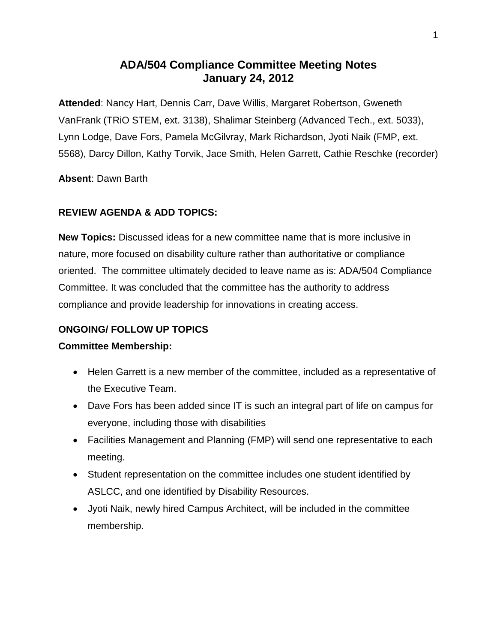# **ADA/504 Compliance Committee Meeting Notes January 24, 2012**

**Attended**: Nancy Hart, Dennis Carr, Dave Willis, Margaret Robertson, Gweneth VanFrank (TRiO STEM, ext. 3138), Shalimar Steinberg (Advanced Tech., ext. 5033), Lynn Lodge, Dave Fors, Pamela McGilvray, Mark Richardson, Jyoti Naik (FMP, ext. 5568), Darcy Dillon, Kathy Torvik, Jace Smith, Helen Garrett, Cathie Reschke (recorder)

**Absent**: Dawn Barth

# **REVIEW AGENDA & ADD TOPICS:**

**New Topics:** Discussed ideas for a new committee name that is more inclusive in nature, more focused on disability culture rather than authoritative or compliance oriented. The committee ultimately decided to leave name as is: ADA/504 Compliance Committee. It was concluded that the committee has the authority to address compliance and provide leadership for innovations in creating access.

# **ONGOING/ FOLLOW UP TOPICS**

# **Committee Membership:**

- Helen Garrett is a new member of the committee, included as a representative of the Executive Team.
- Dave Fors has been added since IT is such an integral part of life on campus for everyone, including those with disabilities
- Facilities Management and Planning (FMP) will send one representative to each meeting.
- Student representation on the committee includes one student identified by ASLCC, and one identified by Disability Resources.
- Jyoti Naik, newly hired Campus Architect, will be included in the committee membership.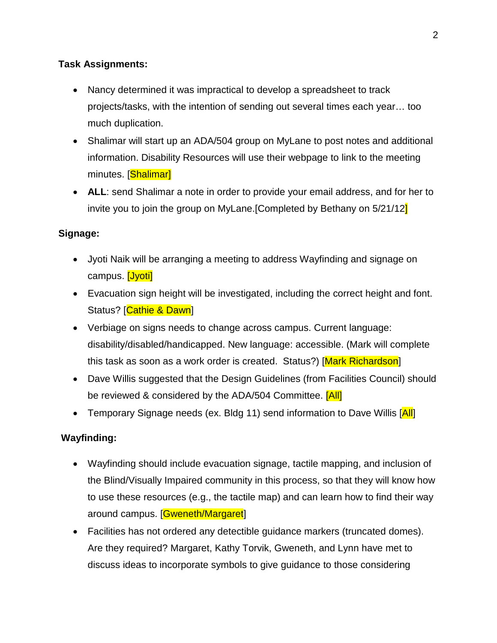### **Task Assignments:**

- Nancy determined it was impractical to develop a spreadsheet to track projects/tasks, with the intention of sending out several times each year… too much duplication.
- Shalimar will start up an ADA/504 group on MyLane to post notes and additional information. Disability Resources will use their webpage to link to the meeting minutes. [Shalimar]
- **ALL**: send Shalimar a note in order to provide your email address, and for her to invite you to join the group on MyLane.[Completed by Bethany on 5/21/12]

#### **Signage:**

- Jyoti Naik will be arranging a meeting to address Wayfinding and signage on campus. **[Jyoti]**
- Evacuation sign height will be investigated, including the correct height and font. Status? [Cathie & Dawn]
- Verbiage on signs needs to change across campus. Current language: disability/disabled/handicapped. New language: accessible. (Mark will complete this task as soon as a work order is created. Status?) [Mark Richardson]
- Dave Willis suggested that the Design Guidelines (from Facilities Council) should be reviewed & considered by the ADA/504 Committee. [All]
- Temporary Signage needs (ex. Bldg 11) send information to Dave Willis [All]

#### **Wayfinding:**

- Wayfinding should include evacuation signage, tactile mapping, and inclusion of the Blind/Visually Impaired community in this process, so that they will know how to use these resources (e.g., the tactile map) and can learn how to find their way around campus. [Gweneth/Margaret]
- Facilities has not ordered any detectible guidance markers (truncated domes). Are they required? Margaret, Kathy Torvik, Gweneth, and Lynn have met to discuss ideas to incorporate symbols to give guidance to those considering